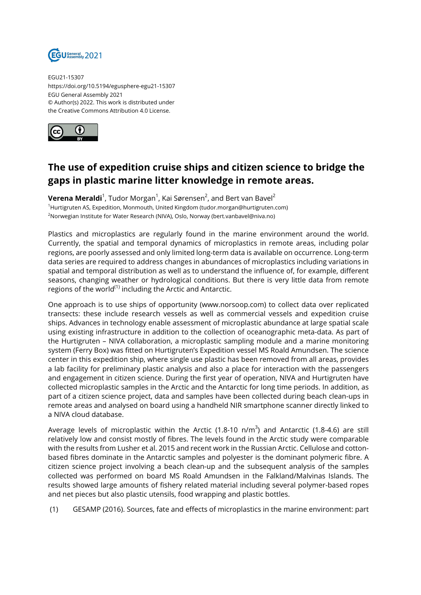

EGU21-15307 https://doi.org/10.5194/egusphere-egu21-15307 EGU General Assembly 2021 © Author(s) 2022. This work is distributed under the Creative Commons Attribution 4.0 License.



## **The use of expedition cruise ships and citizen science to bridge the gaps in plastic marine litter knowledge in remote areas.**

**Verena Meraldi**<sup>1</sup>, Tudor Morgan<sup>1</sup>, Kai Sørensen<sup>2</sup>, and Bert van Bavel<sup>2</sup> <sup>1</sup>Hurtigruten AS, Expedition, Monmouth, United Kingdom (tudor.morgan@hurtigruten.com) <sup>2</sup>Norwegian Institute for Water Research (NIVA), Oslo, Norway (bert.vanbavel@niva.no)

Plastics and microplastics are regularly found in the marine environment around the world. Currently, the spatial and temporal dynamics of microplastics in remote areas, including polar regions, are poorly assessed and only limited long-term data is available on occurrence. Long-term data series are required to address changes in abundances of microplastics including variations in spatial and temporal distribution as well as to understand the influence of, for example, different seasons, changing weather or hydrological conditions. But there is very little data from remote regions of the world $^{(1)}$  including the Arctic and Antarctic.

One approach is to use ships of opportunity (www.norsoop.com) to collect data over replicated transects: these include research vessels as well as commercial vessels and expedition cruise ships. Advances in technology enable assessment of microplastic abundance at large spatial scale using existing infrastructure in addition to the collection of oceanographic meta-data. As part of the Hurtigruten – NIVA collaboration, a microplastic sampling module and a marine monitoring system (Ferry Box) was fitted on Hurtigruten's Expedition vessel MS Roald Amundsen. The science center in this expedition ship, where single use plastic has been removed from all areas, provides a lab facility for preliminary plastic analysis and also a place for interaction with the passengers and engagement in citizen science. During the first year of operation, NIVA and Hurtigruten have collected microplastic samples in the Arctic and the Antarctic for long time periods. In addition, as part of a citizen science project, data and samples have been collected during beach clean-ups in remote areas and analysed on board using a handheld NIR smartphone scanner directly linked to a NIVA cloud database.

Average levels of microplastic within the Arctic (1.8-10 n/m $^3$ ) and Antarctic (1.8-4.6) are still relatively low and consist mostly of fibres. The levels found in the Arctic study were comparable with the results from Lusher et al. 2015 and recent work in the Russian Arctic. Cellulose and cottonbased fibres dominate in the Antarctic samples and polyester is the dominant polymeric fibre. A citizen science project involving a beach clean-up and the subsequent analysis of the samples collected was performed on board MS Roald Amundsen in the Falkland/Malvinas Islands. The results showed large amounts of fishery related material including several polymer-based ropes and net pieces but also plastic utensils, food wrapping and plastic bottles.

(1) GESAMP (2016). Sources, fate and effects of microplastics in the marine environment: part